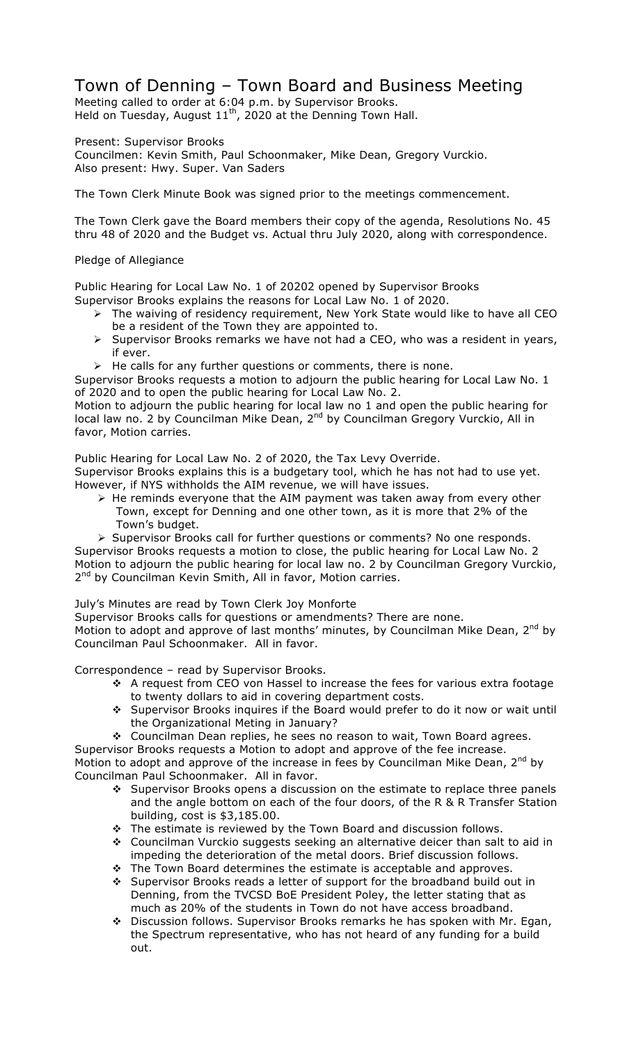## Town of Denning – Town Board and Business Meeting

Meeting called to order at 6:04 p.m. by Supervisor Brooks. Held on Tuesday, August  $11<sup>th</sup>$ , 2020 at the Denning Town Hall.

Present: Supervisor Brooks

Councilmen: Kevin Smith, Paul Schoonmaker, Mike Dean, Gregory Vurckio. Also present: Hwy. Super. Van Saders

The Town Clerk Minute Book was signed prior to the meetings commencement.

The Town Clerk gave the Board members their copy of the agenda, Resolutions No. 45 thru 48 of 2020 and the Budget vs. Actual thru July 2020, along with correspondence.

## Pledge of Allegiance

Public Hearing for Local Law No. 1 of 20202 opened by Supervisor Brooks Supervisor Brooks explains the reasons for Local Law No. 1 of 2020.

- > The waiving of residency requirement, New York State would like to have all CEO be a resident of the Town they are appointed to.
- $\triangleright$  Supervisor Brooks remarks we have not had a CEO, who was a resident in years, if ever.
- $\triangleright$  He calls for any further questions or comments, there is none.

Supervisor Brooks requests a motion to adjourn the public hearing for Local Law No. 1 of 2020 and to open the public hearing for Local Law No. 2.

Motion to adjourn the public hearing for local law no 1 and open the public hearing for local law no. 2 by Councilman Mike Dean, 2<sup>nd</sup> by Councilman Gregory Vurckio, All in favor, Motion carries.

Public Hearing for Local Law No. 2 of 2020, the Tax Levy Override.

Supervisor Brooks explains this is a budgetary tool, which he has not had to use yet. However, if NYS withholds the AIM revenue, we will have issues.

 $\triangleright$  He reminds everyone that the AIM payment was taken away from every other Town, except for Denning and one other town, as it is more that 2% of the Town's budget.

! Supervisor Brooks call for further questions or comments? No one responds. Supervisor Brooks requests a motion to close, the public hearing for Local Law No. 2 Motion to adjourn the public hearing for local law no. 2 by Councilman Gregory Vurckio, 2<sup>nd</sup> by Councilman Kevin Smith, All in favor, Motion carries.

July's Minutes are read by Town Clerk Joy Monforte

Supervisor Brooks calls for questions or amendments? There are none. Motion to adopt and approve of last months' minutes, by Councilman Mike Dean, 2<sup>nd</sup> by Councilman Paul Schoonmaker. All in favor.

Correspondence – read by Supervisor Brooks.

- \* A request from CEO von Hassel to increase the fees for various extra footage to twenty dollars to aid in covering department costs.
- \* Supervisor Brooks inquires if the Board would prefer to do it now or wait until the Organizational Meting in January?
- \* Councilman Dean replies, he sees no reason to wait, Town Board agrees.

Supervisor Brooks requests a Motion to adopt and approve of the fee increase. Motion to adopt and approve of the increase in fees by Councilman Mike Dean, 2<sup>nd</sup> by Councilman Paul Schoonmaker. All in favor.

- $\div$  Supervisor Brooks opens a discussion on the estimate to replace three panels and the angle bottom on each of the four doors, of the R & R Transfer Station building, cost is \$3,185.00.
- \* The estimate is reviewed by the Town Board and discussion follows.
- " Councilman Vurckio suggests seeking an alternative deicer than salt to aid in impeding the deterioration of the metal doors. Brief discussion follows.
- \* The Town Board determines the estimate is acceptable and approves.
- \* Supervisor Brooks reads a letter of support for the broadband build out in Denning, from the TVCSD BoE President Poley, the letter stating that as much as 20% of the students in Town do not have access broadband.
- " Discussion follows. Supervisor Brooks remarks he has spoken with Mr. Egan, the Spectrum representative, who has not heard of any funding for a build out.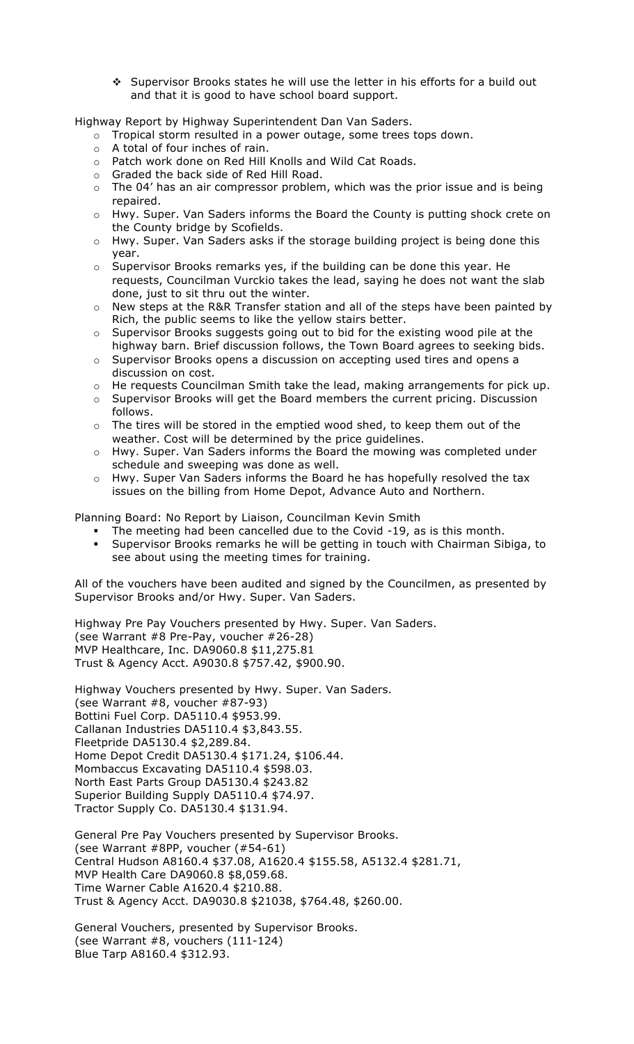\* Supervisor Brooks states he will use the letter in his efforts for a build out and that it is good to have school board support.

Highway Report by Highway Superintendent Dan Van Saders.

- $\circ$  Tropical storm resulted in a power outage, some trees tops down.
- o A total of four inches of rain.
- o Patch work done on Red Hill Knolls and Wild Cat Roads.
- o Graded the back side of Red Hill Road.
- $\circ$  The 04' has an air compressor problem, which was the prior issue and is being repaired.
- o Hwy. Super. Van Saders informs the Board the County is putting shock crete on the County bridge by Scofields.
- o Hwy. Super. Van Saders asks if the storage building project is being done this year.
- o Supervisor Brooks remarks yes, if the building can be done this year. He requests, Councilman Vurckio takes the lead, saying he does not want the slab done, just to sit thru out the winter.
- o New steps at the R&R Transfer station and all of the steps have been painted by Rich, the public seems to like the yellow stairs better.
- $\circ$  Supervisor Brooks suggests going out to bid for the existing wood pile at the highway barn. Brief discussion follows, the Town Board agrees to seeking bids.
- o Supervisor Brooks opens a discussion on accepting used tires and opens a discussion on cost.
- o He requests Councilman Smith take the lead, making arrangements for pick up.
- o Supervisor Brooks will get the Board members the current pricing. Discussion follows.
- o The tires will be stored in the emptied wood shed, to keep them out of the weather. Cost will be determined by the price guidelines.
- o Hwy. Super. Van Saders informs the Board the mowing was completed under schedule and sweeping was done as well.
- o Hwy. Super Van Saders informs the Board he has hopefully resolved the tax issues on the billing from Home Depot, Advance Auto and Northern.

Planning Board: No Report by Liaison, Councilman Kevin Smith

- The meeting had been cancelled due to the Covid -19, as is this month.
- **EXED Supervisor Brooks remarks he will be getting in touch with Chairman Sibiga, to** see about using the meeting times for training.

All of the vouchers have been audited and signed by the Councilmen, as presented by Supervisor Brooks and/or Hwy. Super. Van Saders.

Highway Pre Pay Vouchers presented by Hwy. Super. Van Saders. (see Warrant #8 Pre-Pay, voucher #26-28) MVP Healthcare, Inc. DA9060.8 \$11,275.81 Trust & Agency Acct. A9030.8 \$757.42, \$900.90.

Highway Vouchers presented by Hwy. Super. Van Saders. (see Warrant #8, voucher #87-93) Bottini Fuel Corp. DA5110.4 \$953.99. Callanan Industries DA5110.4 \$3,843.55. Fleetpride DA5130.4 \$2,289.84. Home Depot Credit DA5130.4 \$171.24, \$106.44. Mombaccus Excavating DA5110.4 \$598.03. North East Parts Group DA5130.4 \$243.82 Superior Building Supply DA5110.4 \$74.97. Tractor Supply Co. DA5130.4 \$131.94.

General Pre Pay Vouchers presented by Supervisor Brooks. (see Warrant #8PP, voucher (#54-61) Central Hudson A8160.4 \$37.08, A1620.4 \$155.58, A5132.4 \$281.71, MVP Health Care DA9060.8 \$8,059.68. Time Warner Cable A1620.4 \$210.88. Trust & Agency Acct. DA9030.8 \$21038, \$764.48, \$260.00.

General Vouchers, presented by Supervisor Brooks. (see Warrant #8, vouchers (111-124) Blue Tarp A8160.4 \$312.93.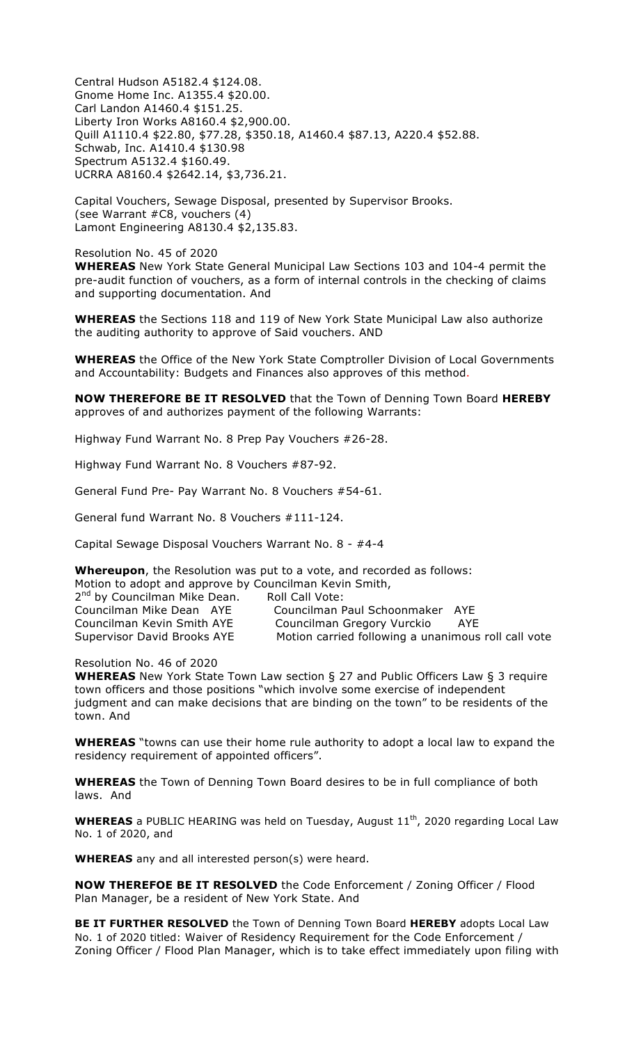Central Hudson A5182.4 \$124.08. Gnome Home Inc. A1355.4 \$20.00. Carl Landon A1460.4 \$151.25. Liberty Iron Works A8160.4 \$2,900.00. Quill A1110.4 \$22.80, \$77.28, \$350.18, A1460.4 \$87.13, A220.4 \$52.88. Schwab, Inc. A1410.4 \$130.98 Spectrum A5132.4 \$160.49. UCRRA A8160.4 \$2642.14, \$3,736.21.

Capital Vouchers, Sewage Disposal, presented by Supervisor Brooks. (see Warrant #C8, vouchers (4) Lamont Engineering A8130.4 \$2,135.83.

Resolution No. 45 of 2020 **WHEREAS** New York State General Municipal Law Sections 103 and 104-4 permit the pre-audit function of vouchers, as a form of internal controls in the checking of claims and supporting documentation. And

**WHEREAS** the Sections 118 and 119 of New York State Municipal Law also authorize the auditing authority to approve of Said vouchers. AND

**WHEREAS** the Office of the New York State Comptroller Division of Local Governments and Accountability: Budgets and Finances also approves of this method.

**NOW THEREFORE BE IT RESOLVED** that the Town of Denning Town Board **HEREBY** approves of and authorizes payment of the following Warrants:

Highway Fund Warrant No. 8 Prep Pay Vouchers #26-28.

Highway Fund Warrant No. 8 Vouchers #87-92.

General Fund Pre- Pay Warrant No. 8 Vouchers #54-61.

General fund Warrant No. 8 Vouchers #111-124.

Capital Sewage Disposal Vouchers Warrant No. 8 - #4-4

**Whereupon**, the Resolution was put to a vote, and recorded as follows:

Motion to adopt and approve by Councilman Kevin Smith,

2<sup>nd</sup> by Councilman Mike Dean. Roll Call Vote:

Councilman Mike Dean AYE Councilman Paul Schoonmaker AYE Councilman Kevin Smith AYE Councilman Gregory Vurckio AYE Supervisor David Brooks AYE Motion carried following a unanimous roll call vote

Resolution No. 46 of 2020

**WHEREAS** New York State Town Law section § 27 and Public Officers Law § 3 require town officers and those positions "which involve some exercise of independent judgment and can make decisions that are binding on the town" to be residents of the town. And

**WHEREAS** "towns can use their home rule authority to adopt a local law to expand the residency requirement of appointed officers".

**WHEREAS** the Town of Denning Town Board desires to be in full compliance of both laws. And

**WHEREAS** a PUBLIC HEARING was held on Tuesday, August 11<sup>th</sup>, 2020 regarding Local Law No. 1 of 2020, and

**WHEREAS** any and all interested person(s) were heard.

**NOW THEREFOE BE IT RESOLVED** the Code Enforcement / Zoning Officer / Flood Plan Manager, be a resident of New York State. And

**BE IT FURTHER RESOLVED** the Town of Denning Town Board **HEREBY** adopts Local Law No. 1 of 2020 titled: Waiver of Residency Requirement for the Code Enforcement / Zoning Officer / Flood Plan Manager, which is to take effect immediately upon filing with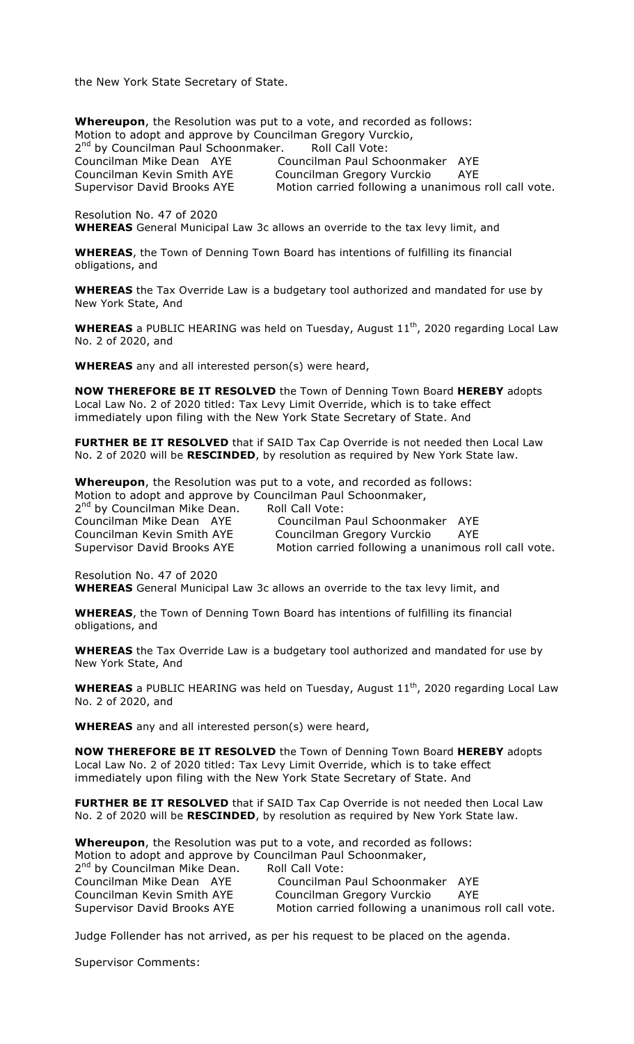the New York State Secretary of State.

**Whereupon**, the Resolution was put to a vote, and recorded as follows: Motion to adopt and approve by Councilman Gregory Vurckio, 2<sup>nd</sup> by Councilman Paul Schoonmaker. Roll Call Vote: Councilman Paul Schoonmaker AYE Councilman Mike Dean AYE Councilman Paul Schoonmaker AYE<br>Councilman Kevin Smith AYE Councilman Gregory Vurckio AYE<br>Supervisor David Brooks AYE Motion carried following a unanimous Motion carried following a unanimous roll call vote.

Resolution No. 47 of 2020 **WHEREAS** General Municipal Law 3c allows an override to the tax levy limit, and

**WHEREAS**, the Town of Denning Town Board has intentions of fulfilling its financial obligations, and

**WHEREAS** the Tax Override Law is a budgetary tool authorized and mandated for use by New York State, And

**WHEREAS** a PUBLIC HEARING was held on Tuesday, August 11<sup>th</sup>, 2020 regarding Local Law No. 2 of 2020, and

**WHEREAS** any and all interested person(s) were heard,

**NOW THEREFORE BE IT RESOLVED** the Town of Denning Town Board **HEREBY** adopts Local Law No. 2 of 2020 titled: Tax Levy Limit Override, which is to take effect immediately upon filing with the New York State Secretary of State. And

**FURTHER BE IT RESOLVED** that if SAID Tax Cap Override is not needed then Local Law No. 2 of 2020 will be **RESCINDED**, by resolution as required by New York State law.

**Whereupon**, the Resolution was put to a vote, and recorded as follows:

Motion to adopt and approve by Councilman Paul Schoonmaker,

2<sup>nd</sup> by Councilman Mike Dean. Roll Call Vote: Councilman Paul Schoonmaker AYE Councilman Kevin Smith AYE Councilman Gregory Vurckio AYE Supervisor David Brooks AYE Motion carried following a unanimous roll call vote.

Resolution No. 47 of 2020

**WHEREAS** General Municipal Law 3c allows an override to the tax levy limit, and

**WHEREAS**, the Town of Denning Town Board has intentions of fulfilling its financial obligations, and

**WHEREAS** the Tax Override Law is a budgetary tool authorized and mandated for use by New York State, And

**WHEREAS** a PUBLIC HEARING was held on Tuesday, August 11<sup>th</sup>, 2020 regarding Local Law No. 2 of 2020, and

**WHEREAS** any and all interested person(s) were heard,

**NOW THEREFORE BE IT RESOLVED** the Town of Denning Town Board **HEREBY** adopts Local Law No. 2 of 2020 titled: Tax Levy Limit Override, which is to take effect immediately upon filing with the New York State Secretary of State. And

**FURTHER BE IT RESOLVED** that if SAID Tax Cap Override is not needed then Local Law No. 2 of 2020 will be **RESCINDED**, by resolution as required by New York State law.

**Whereupon**, the Resolution was put to a vote, and recorded as follows: Motion to adopt and approve by Councilman Paul Schoonmaker, 2<sup>nd</sup> by Councilman Mike Dean. Roll Call Vote: Councilman Mike Dean AYE Councilman Paul Schoonmaker AYE Councilman Kevin Smith AYE Councilman Gregory Vurckio AYE Supervisor David Brooks AYE Motion carried following a unanimous roll call vote.

Judge Follender has not arrived, as per his request to be placed on the agenda.

Supervisor Comments: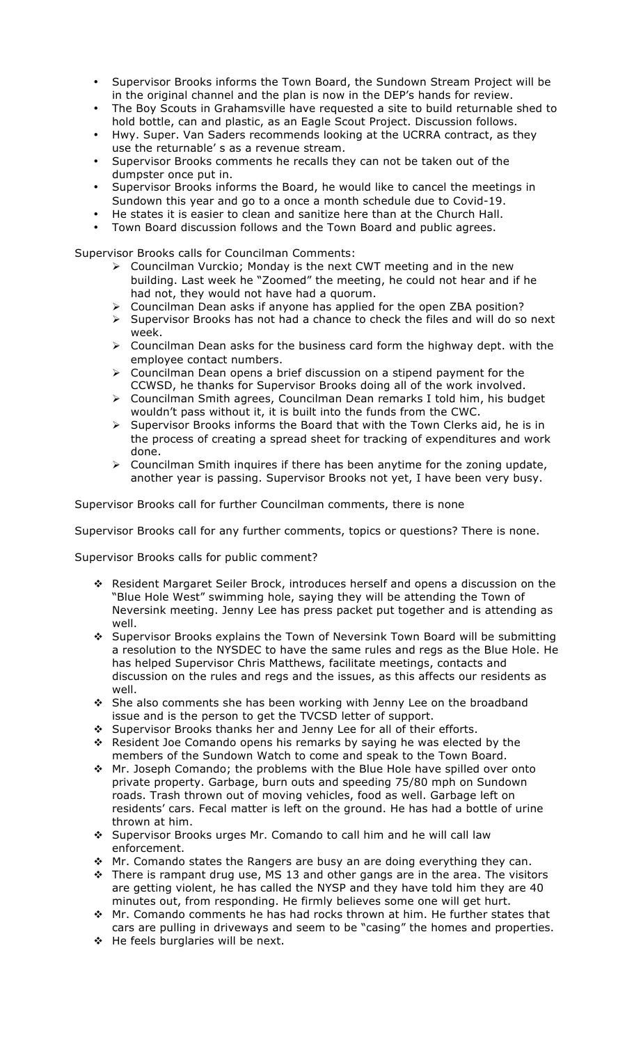- Supervisor Brooks informs the Town Board, the Sundown Stream Project will be in the original channel and the plan is now in the DEP's hands for review.
- The Boy Scouts in Grahamsville have requested a site to build returnable shed to hold bottle, can and plastic, as an Eagle Scout Project. Discussion follows.
- Hwy. Super. Van Saders recommends looking at the UCRRA contract, as they use the returnable' s as a revenue stream.
- Supervisor Brooks comments he recalls they can not be taken out of the dumpster once put in.
- Supervisor Brooks informs the Board, he would like to cancel the meetings in Sundown this year and go to a once a month schedule due to Covid-19.
- He states it is easier to clean and sanitize here than at the Church Hall.
- Town Board discussion follows and the Town Board and public agrees.

Supervisor Brooks calls for Councilman Comments:

- $\triangleright$  Councilman Vurckio; Monday is the next CWT meeting and in the new building. Last week he "Zoomed" the meeting, he could not hear and if he had not, they would not have had a quorum.
- $\triangleright$  Councilman Dean asks if anyone has applied for the open ZBA position?
- $\triangleright$  Supervisor Brooks has not had a chance to check the files and will do so next week.
- $\triangleright$  Councilman Dean asks for the business card form the highway dept. with the employee contact numbers.
- $\triangleright$  Councilman Dean opens a brief discussion on a stipend payment for the CCWSD, he thanks for Supervisor Brooks doing all of the work involved.
- $\triangleright$  Councilman Smith agrees, Councilman Dean remarks I told him, his budget wouldn't pass without it, it is built into the funds from the CWC.
- $\triangleright$  Supervisor Brooks informs the Board that with the Town Clerks aid, he is in the process of creating a spread sheet for tracking of expenditures and work done.
- $\triangleright$  Councilman Smith inquires if there has been anytime for the zoning update, another year is passing. Supervisor Brooks not yet, I have been very busy.

Supervisor Brooks call for further Councilman comments, there is none

Supervisor Brooks call for any further comments, topics or questions? There is none.

Supervisor Brooks calls for public comment?

- \* Resident Margaret Seiler Brock, introduces herself and opens a discussion on the "Blue Hole West" swimming hole, saying they will be attending the Town of Neversink meeting. Jenny Lee has press packet put together and is attending as well.
- " Supervisor Brooks explains the Town of Neversink Town Board will be submitting a resolution to the NYSDEC to have the same rules and regs as the Blue Hole. He has helped Supervisor Chris Matthews, facilitate meetings, contacts and discussion on the rules and regs and the issues, as this affects our residents as well.
- \* She also comments she has been working with Jenny Lee on the broadband issue and is the person to get the TVCSD letter of support.
- \* Supervisor Brooks thanks her and Jenny Lee for all of their efforts.
- \* Resident Joe Comando opens his remarks by saying he was elected by the members of the Sundown Watch to come and speak to the Town Board.
- $\div$  Mr. Joseph Comando; the problems with the Blue Hole have spilled over onto private property. Garbage, burn outs and speeding 75/80 mph on Sundown roads. Trash thrown out of moving vehicles, food as well. Garbage left on residents' cars. Fecal matter is left on the ground. He has had a bottle of urine thrown at him.
- " Supervisor Brooks urges Mr. Comando to call him and he will call law enforcement.
- \* Mr. Comando states the Rangers are busy an are doing everything they can.
- $\cdot$  There is rampant drug use, MS 13 and other gangs are in the area. The visitors are getting violent, he has called the NYSP and they have told him they are 40 minutes out, from responding. He firmly believes some one will get hurt.
- \* Mr. Comando comments he has had rocks thrown at him. He further states that cars are pulling in driveways and seem to be "casing" the homes and properties.
- ◆ He feels burglaries will be next.